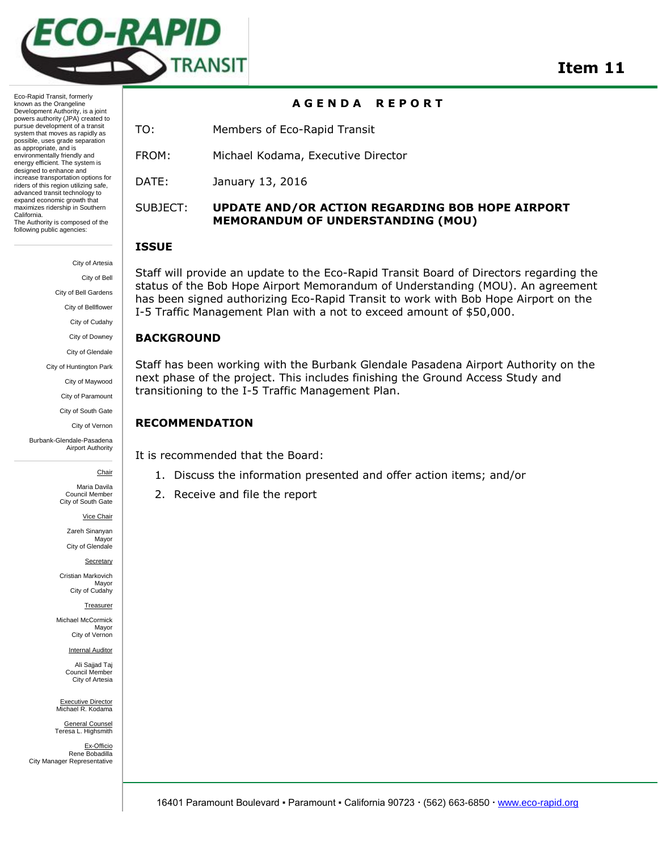

**A G E N D A R E P O R T** 

TO: Members of Eco-Rapid Transit

FROM: Michael Kodama, Executive Director

DATE: January 13, 2016

# SUBJECT: **UPDATE AND/OR ACTION REGARDING BOB HOPE AIRPORT MEMORANDUM OF UNDERSTANDING (MOU)**

## **ISSUE**

Staff will provide an update to the Eco-Rapid Transit Board of Directors regarding the status of the Bob Hope Airport Memorandum of Understanding (MOU). An agreement has been signed authorizing Eco-Rapid Transit to work with Bob Hope Airport on the I-5 Traffic Management Plan with a not to exceed amount of \$50,000.

## **BACKGROUND**

Staff has been working with the Burbank Glendale Pasadena Airport Authority on the next phase of the project. This includes finishing the Ground Access Study and transitioning to the I-5 Traffic Management Plan.

## **RECOMMENDATION**

It is recommended that the Board:

- 1. Discuss the information presented and offer action items; and/or
- 2. Receive and file the report

powers authority (JPA) created to pursue development of a transit system that moves as rapidly as possible, uses grade separation as appropriate, and is environmentally friendly and energy efficient. The system is designed to enhance and increase transportation options for riders of this region utilizing safe, advanced transit technology to expand economic growth that maximizes ridership in Southern California. The Authority is composed of the following public agencies:

Eco-Rapid Transit, formerly known as the Orangeline Development Authority, is a joint

> City of Artesia City of Bell City of Bell Gardens City of Bellflower City of Cudahy City of Downey City of Glendale City of Huntington Park City of Maywood City of Paramount City of South Gate

> > City of Vernon

Burbank-Glendale-Pasadena Airport Authority

## **Chair**

Maria Davila Council Member City of South Gate

Vice Chair

Zareh Sinanyan Mayor City of Glendale

**Secretary** 

Cristian Markovich Mayor City of Cudahy

Treasurer

Michael McCormick Mayor City of Vernon

Internal Auditor

Ali Sajjad Taj Council Member City of Artesia

Executive Director Michael R. Kodama

General Counsel Teresa L. Highsmith

Ex-Officio Rene Bobadilla City Manager Representative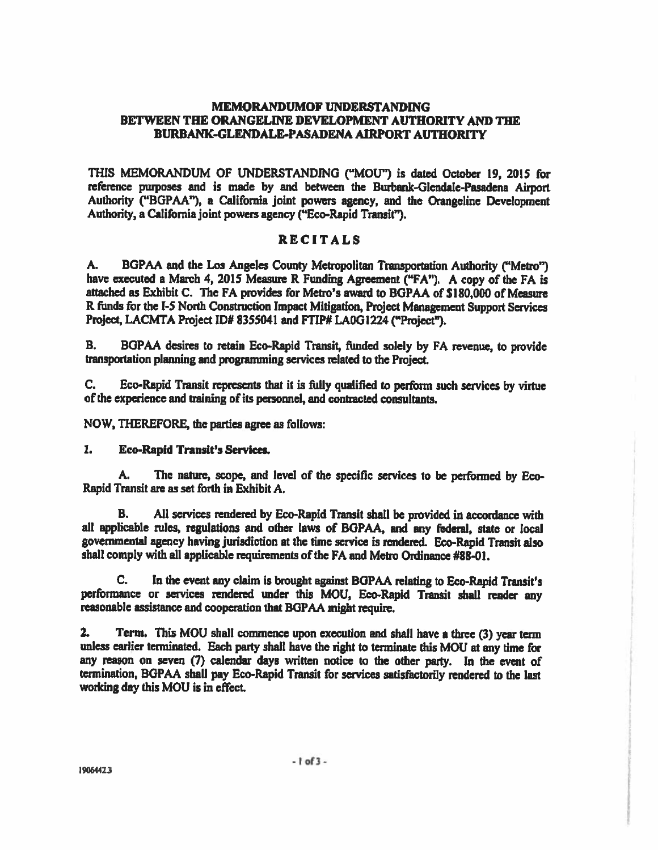# **MEMORANDUMOF UNDERSTANDING** BETWEEN THE ORANGELINE DEVELOPMENT AUTHORITY AND THE **BURBANK-GLENDALE-PASADENA AIRPORT AUTHORITY**

THIS MEMORANDUM OF UNDERSTANDING ("MOU") is dated October 19, 2015 for reference purposes and is made by and between the Burbank-Glendale-Pasadena Airport Authority ("BGPAA"), a California joint powers agency, and the Orangeline Development Authority, a California joint powers agency ("Eco-Rapid Transit").

# **RECITALS**

**A.** BGPAA and the Los Angeles County Metropolitan Transportation Authority ("Metro") have executed a March 4, 2015 Measure R Funding Agreement ("FA"). A copy of the FA is attached as Exhibit C. The FA provides for Metro's award to BGPAA of \$180,000 of Measure R funds for the I-5 North Construction Impact Mitigation, Project Management Support Services Project, LACMTA Project ID# 8355041 and FTIP# LA0G1224 ("Project").

В. BGPAA desires to retain Eco-Rapid Transit, funded solely by FA revenue, to provide transportation planning and programming services related to the Project.

C. Eco-Rapid Transit represents that it is fully qualified to perform such services by virtue of the experience and training of its personnel, and contracted consultants.

NOW, THEREFORE, the parties agree as follows:

### 1. **Eco-Rapid Transit's Services.**

The nature, scope, and level of the specific services to be performed by Eco-А. Rapid Transit are as set forth in Exhibit A.

**B.** All services rendered by Eco-Rapid Transit shall be provided in accordance with all applicable rules, regulations and other laws of BGPAA, and any federal, state or local governmental agency having jurisdiction at the time service is rendered. Eco-Rapid Transit also shall comply with all applicable requirements of the FA and Metro Ordinance #88-01.

In the event any claim is brought against BGPAA relating to Eco-Rapid Transit's C. performance or services rendered under this MOU, Eco-Rapid Transit shall render any reasonable assistance and cooperation that BGPAA might require.

Term. This MOU shall commence upon execution and shall have a three (3) year term  $2.$ unless earlier terminated. Each party shall have the right to terminate this MOU at any time for any reason on seven (7) calendar days written notice to the other party. In the event of termination, BGPAA shall pay Eco-Rapid Transit for services satisfactorily rendered to the last working day this MOU is in effect.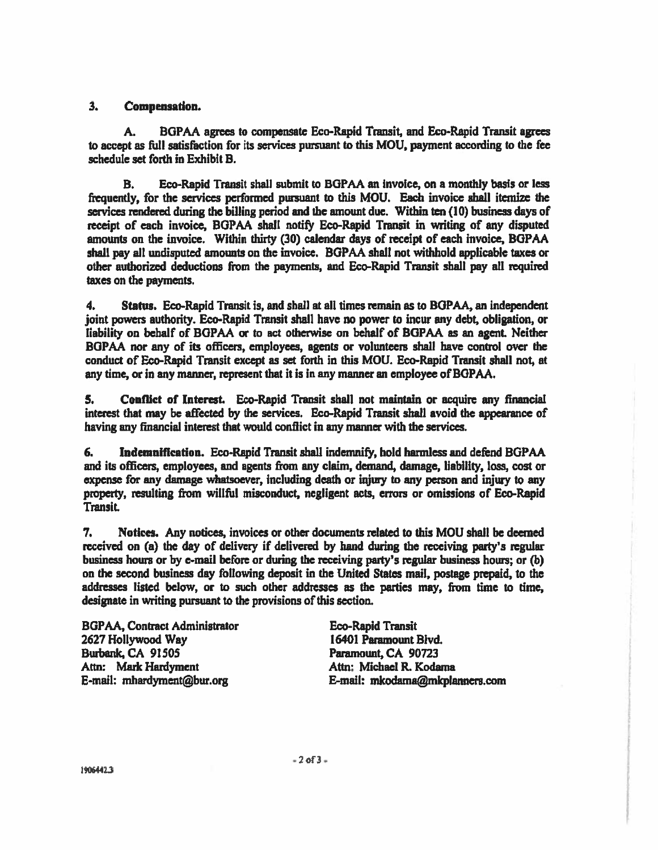#### $3<sub>1</sub>$ **Compensation.**

BGPAA agrees to compensate Eco-Rapid Transit, and Eco-Rapid Transit agrees A. to accept as full satisfaction for its services pursuant to this MOU, payment according to the fee schedule set forth in Exhibit B.

Eco-Rapid Transit shall submit to BGPAA an invoice, on a monthly basis or less В. frequently, for the services performed pursuant to this MOU. Each invoice shall itemize the services rendered during the billing period and the amount due. Within ten (10) business days of receipt of each invoice, BGPAA shall notify Eco-Rapid Transit in writing of any disputed amounts on the invoice. Within thirty (30) calendar days of receipt of each invoice, BGPAA shall pay all undisputed amounts on the invoice. BGPAA shall not withhold applicable taxes or other authorized deductions from the payments, and Eco-Rapid Transit shall pay all required taxes on the payments.

4. Status. Eco-Rapid Transit is, and shall at all times remain as to BGPAA, an independent joint powers authority. Eco-Rapid Transit shall have no power to incur any debt, obligation, or liability on behalf of BGPAA or to act otherwise on behalf of BGPAA as an agent. Neither BGPAA nor any of its officers, employees, agents or volunteers shall have control over the conduct of Eco-Rapid Transit except as set forth in this MOU. Eco-Rapid Transit shall not, at any time, or in any manner, represent that it is in any manner an employee of BGPAA.

Conflict of Interest. Eco-Rapid Transit shall not maintain or acquire any financial 5. interest that may be affected by the services. Eco-Rapid Transit shall avoid the appearance of having any financial interest that would conflict in any manner with the services.

Indemnification. Eco-Rapid Transit shall indemnify, hold harmless and defend BGPAA 6. and its officers, employees, and agents from any claim, demand, damage, liability, loss, cost or expense for any damage whatsoever, including death or injury to any person and injury to any property, resulting from willful misconduct, negligent acts, errors or omissions of Eco-Rapid **Transit.** 

7. Notices. Any notices, invoices or other documents related to this MOU shall be deemed received on (a) the day of delivery if delivered by hand during the receiving party's regular business hours or by e-mail before or during the receiving party's regular business hours; or (b) on the second business day following deposit in the United States mail, postage prepaid, to the addresses listed below, or to such other addresses as the parties may, from time to time, designate in writing pursuant to the provisions of this section.

**BGPAA, Contract Administrator** 2627 Hollywood Way Burbank, CA 91505 Attn: Mark Hardyment E-mail: mhardyment@bur.org

**Eco-Rapid Transit** 16401 Paramount Blvd. Paramount, CA 90723 Attn: Michael R. Kodama E-mail: mkodama@mkplanners.com